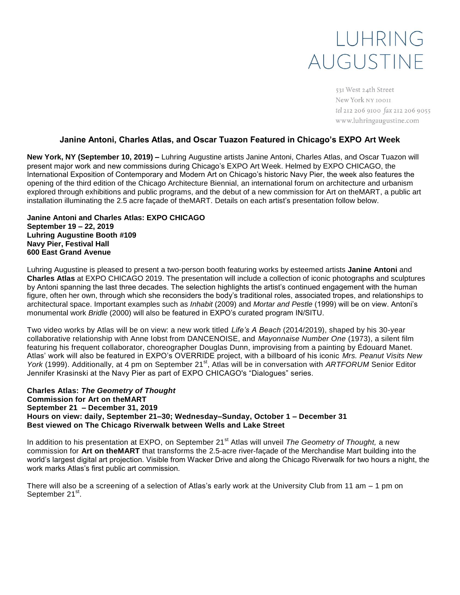# LUHRING AUGUSTINE

531 West 24th Street New York NY 10011 tel 212 206 9100 fax 212 206 9055 www.luhringaugustine.com

### **Janine Antoni, Charles Atlas, and Oscar Tuazon Featured in Chicago's EXPO Art Week**

**New York, NY (September 10, 2019) –** Luhring Augustine artists Janine Antoni, Charles Atlas, and Oscar Tuazon will present major work and new commissions during Chicago's EXPO Art Week. Helmed by EXPO CHICAGO, the International Exposition of Contemporary and Modern Art on Chicago's historic Navy Pier, the week also features the opening of the third edition of the Chicago Architecture Biennial, an international forum on architecture and urbanism explored through exhibitions and public programs, and the debut of a new commission for Art on theMART, a public art installation illuminating the 2.5 acre façade of theMART. Details on each artist's presentation follow below.

#### **Janine Antoni and Charles Atlas: EXPO CHICAGO September 19 – 22, 2019 Luhring Augustine Booth #109 Navy Pier, Festival Hall 600 East Grand Avenue**

Luhring Augustine is pleased to present a two-person booth featuring works by esteemed artists **Janine Antoni** and **Charles Atlas** at EXPO CHICAGO 2019. The presentation will include a collection of iconic photographs and sculptures by Antoni spanning the last three decades. The selection highlights the artist's continued engagement with the human figure, often her own, through which she reconsiders the body's traditional roles, associated tropes, and relationships to architectural space. Important examples such as *Inhabit* (2009) and *Mortar and Pestle* (1999) will be on view. Antoni's monumental work *Bridle* (2000) will also be featured in EXPO's curated program IN/SITU.

Two video works by Atlas will be on view: a new work titled *Life's A Beach* (2014/2019), shaped by his 30-year collaborative relationship with Anne Iobst from DANCENOISE, and *Mayonnaise Number One* (1973), a silent film featuring his frequent collaborator, choreographer Douglas Dunn, improvising from a painting by Édouard Manet. Atlas' work will also be featured in EXPO's OVERRIDE project, with a billboard of his iconic *Mrs. Peanut Visits New York* (1999). Additionally, at 4 pm on September 21<sup>st</sup>, Atlas will be in conversation with *ARTFORUM* Senior Editor Jennifer Krasinski at the Navy Pier as part of EXPO CHICAGO's "Dialogues" series.

#### **Charles Atlas:** *The Geometry of Thought* **Commission for Art on theMART September 21 – December 31, 2019 Hours on view: daily, September 21–30; Wednesday–Sunday, October 1 – December 31 Best viewed on The Chicago Riverwalk between Wells and Lake Street**

In addition to his presentation at EXPO, on September 21<sup>st</sup> Atlas will unveil *The Geometry of Thought*, a new commission for **Art on theMART** that transforms the 2.5-acre river-façade of the Merchandise Mart building into the world's largest digital art projection. Visible from Wacker Drive and along the Chicago Riverwalk for two hours a night, the work marks Atlas's first public art commission.

There will also be a screening of a selection of Atlas's early work at the University Club from 11 am – 1 pm on September 21<sup>st</sup>.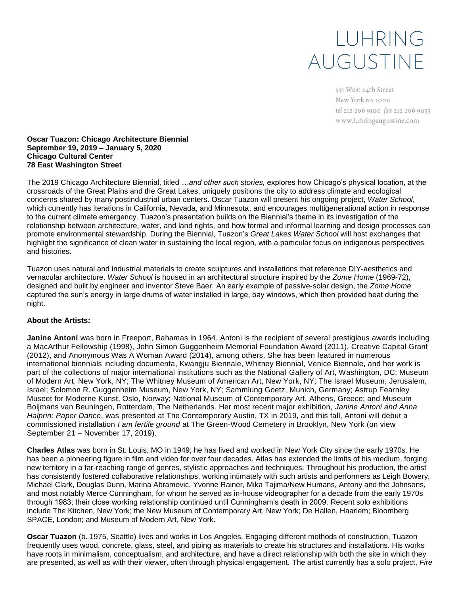# LUHRING AUGUSTINE

531 West 24th Street New York NY 10011 tel 212 206 9100 fax 212 206 9055 www.luhringaugustine.com

#### **Oscar Tuazon: Chicago Architecture Biennial September 19, 2019 – January 5, 2020 Chicago Cultural Center 78 East Washington Street**

The 2019 Chicago Architecture Biennial, titled *…and other such stories,* explores how Chicago's physical location, at the crossroads of the Great Plains and the Great Lakes, uniquely positions the city to address climate and ecological concerns shared by many postindustrial urban centers. Oscar Tuazon will present his ongoing project, *Water School*, which currently has iterations in California, Nevada, and Minnesota, and encourages multigenerational action in response to the current climate emergency. Tuazon's presentation builds on the Biennial's theme in its investigation of the relationship between architecture, water, and land rights, and how formal and informal learning and design processes can promote environmental stewardship. During the Biennial, Tuazon's *Great Lakes Water School* will host exchanges that highlight the significance of clean water in sustaining the local region, with a particular focus on indigenous perspectives and histories.

Tuazon uses natural and industrial materials to create sculptures and installations that reference DIY-aesthetics and vernacular architecture. *Water School* is housed in an architectural structure inspired by the *Zome Home* (1969-72), designed and built by engineer and inventor Steve Baer. An early example of passive-solar design, the *Zome Home*  captured the sun's energy in large drums of water installed in large, bay windows, which then provided heat during the night.

### **About the Artists:**

**Janine Antoni** was born in Freeport, Bahamas in 1964. Antoni is the recipient of several prestigious awards including a MacArthur Fellowship (1998), John Simon Guggenheim Memorial Foundation Award (2011), Creative Capital Grant (2012), and Anonymous Was A Woman Award (2014), among others. She has been featured in numerous international biennials including documenta, Kwangju Biennale, Whitney Biennial, Venice Biennale, and her work is part of the collections of major international institutions such as the National Gallery of Art, Washington, DC; Museum of Modern Art, New York, NY; The Whitney Museum of American Art, New York, NY; The Israel Museum, Jerusalem, Israel; Solomon R. Guggenheim Museum, New York, NY; Sammlung Goetz, Munich, Germany; Astrup Fearnley Museet for Moderne Kunst, Oslo, Norway; National Museum of Contemporary Art, Athens, Greece; and Museum Boijmans van Beuningen, Rotterdam, The Netherlands. Her most recent major exhibition, *Janine Antoni and Anna Halprin: Paper Dance*, was presented at The Contemporary Austin, TX in 2019, and this fall, Antoni will debut a commissioned installation *I am fertile ground* at The Green-Wood Cemetery in Brooklyn, New York (on view September 21 – November 17, 2019).

**Charles Atlas** was born in St. Louis, MO in 1949; he has lived and worked in New York City since the early 1970s. He has been a pioneering figure in film and video for over four decades. Atlas has extended the limits of his medium, forging new territory in a far-reaching range of genres, stylistic approaches and techniques. Throughout his production, the artist has consistently fostered collaborative relationships, working intimately with such artists and performers as Leigh Bowery, Michael Clark, Douglas Dunn, Marina Abramovic, Yvonne Rainer, Mika Tajima/New Humans, Antony and the Johnsons, and most notably Merce Cunningham, for whom he served as in-house videographer for a decade from the early 1970s through 1983; their close working relationship continued until Cunningham's death in 2009. Recent solo exhibitions include The Kitchen, New York; the New Museum of Contemporary Art, New York; De Hallen, Haarlem; Bloomberg SPACE, London; and Museum of Modern Art, New York.

**Oscar Tuazon** (b. 1975, Seattle) lives and works in Los Angeles. Engaging different methods of construction, Tuazon frequently uses wood, concrete, glass, steel, and piping as materials to create his structures and installations. His works have roots in minimalism, conceptualism, and architecture, and have a direct relationship with both the site in which they are presented, as well as with their viewer, often through physical engagement. The artist currently has a solo project, *Fire*